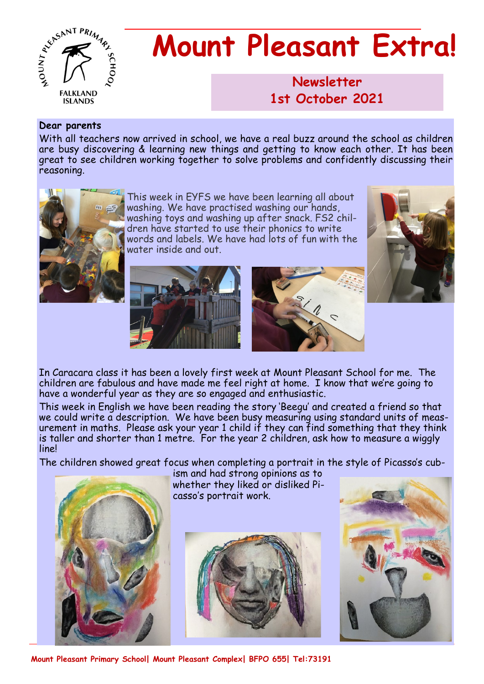

# **Mount Pleasant Extra!**

**Newsletter 1986 1st October 2021**

#### **Dear parents**

With all teachers now arrived in school, we have a real buzz around the school as children are busy discovering & learning new things and getting to know each other. It has been great to see children working together to solve problems and confidently discussing their reasoning.



This week in EYFS we have been learning all about washing. We have practised washing our hands, washing toys and washing up after snack. FS2 children have started to use their phonics to write words and labels. We have had lots of fun with the water inside and out.





In Caracara class it has been a lovely first week at Mount Pleasant School for me. The children are fabulous and have made me feel right at home. I know that we're going to have a wonderful year as they are so engaged and enthusiastic.

This week in English we have been reading the story 'Beegu' and created a friend so that we could write a description. We have been busy measuring using standard units of measurement in maths. Please ask your year 1 child if they can find something that they think is taller and shorter than 1 metre. For the year 2 children, ask how to measure a wiggly line!

The children showed great focus when completing a portrait in the style of Picasso's cub-



ism and had strong opinions as to whether they liked or disliked Picasso's portrait work.